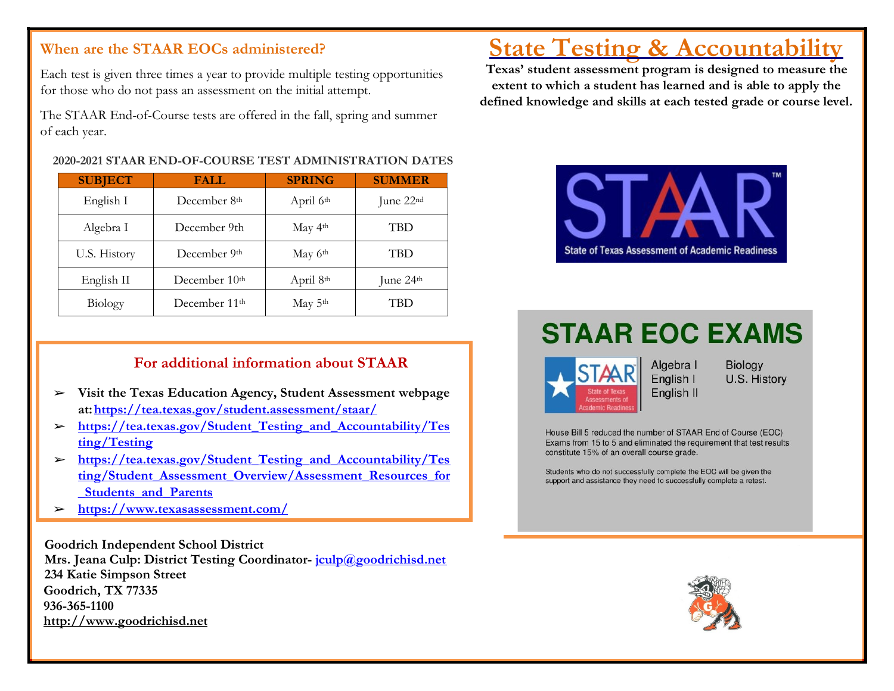# **When are the STAAR EOCs administered?**

Each test is given three times a year to provide multiple testing opportunities for those who do not pass an assessment on the initial attempt.

The STAAR End-of-Course tests are offered in the fall, spring and summer of each year.

#### **2020-2021 STAAR END-OF-COURSE TEST ADMINISTRATION DATES**

| <b>SUBJECT</b> | <b>FALL</b>               | <b>SPRING</b>         | <b>SUMMER</b>         |
|----------------|---------------------------|-----------------------|-----------------------|
| English I      | December 8 <sup>th</sup>  | April 6 <sup>th</sup> | June 22 <sup>nd</sup> |
| Algebra I      | December 9th              | May 4 <sup>th</sup>   | TBD                   |
| U.S. History   | December 9th              | May 6th               | TBD                   |
| English II     | December 10 <sup>th</sup> | April 8 <sup>th</sup> | June 24th             |
| Biology        | December 11 <sup>th</sup> | May 5th               | TBD                   |

## **For additional information about STAAR**

- ➢ **Visit the Texas Education Agency, Student Assessment webpage at[:https://tea.texas.gov/student.assessment/staar/](https://tea.texas.gov/student.assessment/staar/)**
- ➢ **[https://tea.texas.gov/Student\\_Testing\\_and\\_Accountability/Tes](https://tea.texas.gov/Student_Testing_and_Accountability/Testing/Testing)  [ting/Testing](https://tea.texas.gov/Student_Testing_and_Accountability/Testing/Testing)**
- ➢ **[https://tea.texas.gov/Student\\_Testing\\_and\\_Accountability/Tes](https://tea.texas.gov/Student_Testing_and_Accountability/Testing/Student_Assessment_Overview/Assessment_Resources_for_Students_and_Parents)  [ting/Student\\_Assessment\\_Overview/Assessment\\_Resources\\_for](https://tea.texas.gov/Student_Testing_and_Accountability/Testing/Student_Assessment_Overview/Assessment_Resources_for_Students_and_Parents) [\\_Students\\_and\\_Parents](https://tea.texas.gov/Student_Testing_and_Accountability/Testing/Student_Assessment_Overview/Assessment_Resources_for_Students_and_Parents)**
- ➢ **<https://www.texasassessment.com/>**

**Goodrich Independent School District Mrs. Jeana Culp: District Testing Coordinator- [jculp@goodrichisd.net](mailto:jculp@goodrichisd.net) 234 Katie Simpson Street Goodrich, TX 77335 936-365-1100 [http://www.goodrichisd.net](http://www.goodrichisd.net/)**

# **State Testing & Accountability**

**Texas' student assessment program is designed to measure the extent to which a student has learned and is able to apply the defined knowledge and skills at each tested grade or course level.**



# **STAAR EOC EXAMS**



**Biology** U.S. History

House Bill 5 reduced the number of STAAR End of Course (EOC) Exams from 15 to 5 and eliminated the requirement that test results constitute 15% of an overall course grade.

Students who do not successfully complete the EOC will be given the support and assistance they need to successfully complete a retest.

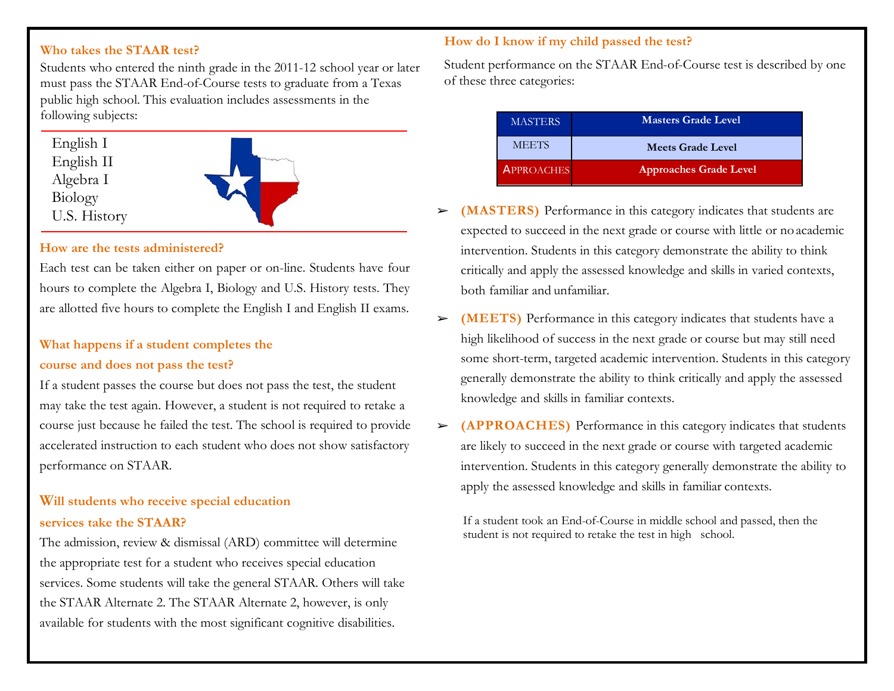#### **Who takes the STAAR test?**

Students who entered the ninth grade in the 2011-12 school year or later must pass the STAAR End-of-Course tests to graduate from a Texas public high school. This evaluation includes assessments in the following subjects:

| English I    |
|--------------|
| English II   |
| Algebra I    |
| Biology      |
| U.S. History |
|              |



#### **How are the tests administered?**

Each test can be taken either on paper or on-line. Students have four hours to complete the Algebra I, Biology and U.S. History tests. They are allotted five hours to complete the English I and English II exams.

# **What happens if a student completes the course and does not pass the test?**

If a student passes the course but does not pass the test, the student may take the test again. However, a student is not required to retake a course just because he failed the test. The school is required to provide accelerated instruction to each student who does not show satisfactory performance on STAAR.

# **Will students who receive special education services take the STAAR?**

The admission, review & dismissal (ARD) committee will determine the appropriate test for a student who receives special education services. Some students will take the general STAAR. Others will take the STAAR Alternate 2. The STAAR Alternate 2, however, is only available for students with the most significant cognitive disabilities.

#### **How do I know if my child passed the test?**

Student performance on the STAAR End-of-Course test is described by one of these three categories:

| <b>MASTERS</b>    | <b>Masters Grade Level</b>    |
|-------------------|-------------------------------|
| <b>MEETS</b>      | <b>Meets Grade Level</b>      |
| <b>APPROACHES</b> | <b>Approaches Grade Level</b> |

- ➢ **(MASTERS)** Performance in this category indicates that students are expected to succeed in the next grade or course with little or no academic intervention. Students in this category demonstrate the ability to think critically and apply the assessed knowledge and skills in varied contexts, both familiar and unfamiliar.
- ➢ **(MEETS)** Performance in this category indicates that students have a high likelihood of success in the next grade or course but may still need some short-term, targeted academic intervention. Students in this category generally demonstrate the ability to think critically and apply the assessed knowledge and skills in familiar contexts.
- ➢ **(APPROACHES)** Performance in this category indicates that students are likely to succeed in the next grade or course with targeted academic intervention. Students in this category generally demonstrate the ability to apply the assessed knowledge and skills in familiar contexts.

If a student took an End-of-Course in middle school and passed, then the student is not required to retake the test in high school.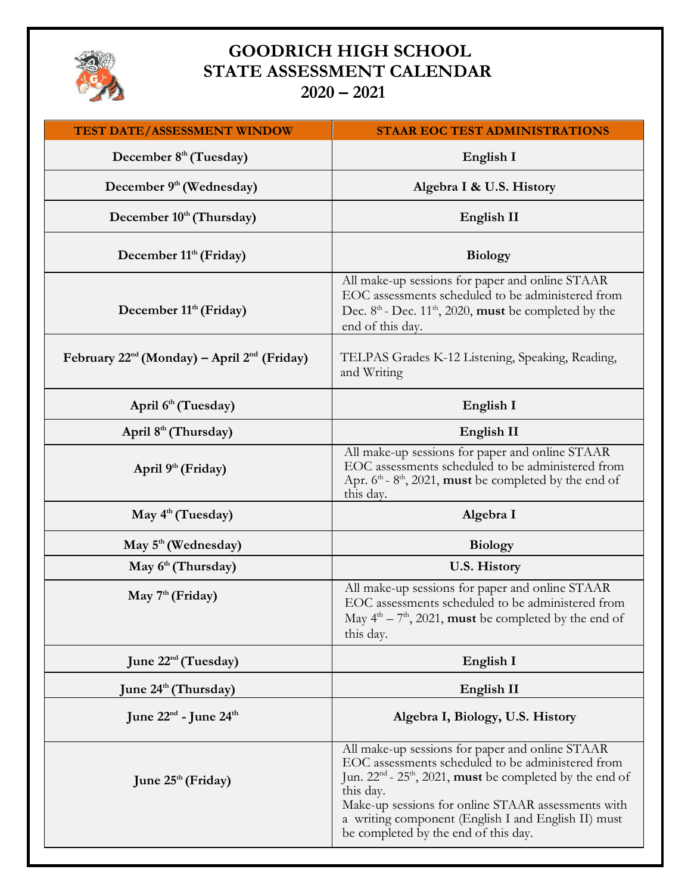

# **GOODRICH HIGH SCHOOL STATE ASSESSMENT CALENDAR 2020 – 2021**

| TEST DATE/ASSESSMENT WINDOW                           | <b>STAAR EOC TEST ADMINISTRATIONS</b>                                                                                                                                                                                                                                                                                                                             |
|-------------------------------------------------------|-------------------------------------------------------------------------------------------------------------------------------------------------------------------------------------------------------------------------------------------------------------------------------------------------------------------------------------------------------------------|
| December 8 <sup>th</sup> (Tuesday)                    | English I                                                                                                                                                                                                                                                                                                                                                         |
| December 9 <sup>th</sup> (Wednesday)                  | Algebra I & U.S. History                                                                                                                                                                                                                                                                                                                                          |
| December 10th (Thursday)                              | English II                                                                                                                                                                                                                                                                                                                                                        |
| December 11 <sup>th</sup> (Friday)                    | <b>Biology</b>                                                                                                                                                                                                                                                                                                                                                    |
| December 11 <sup>th</sup> (Friday)                    | All make-up sessions for paper and online STAAR<br>EOC assessments scheduled to be administered from<br>Dec. 8 <sup>th</sup> - Dec. 11 <sup>th</sup> , 2020, must be completed by the<br>end of this day.                                                                                                                                                         |
| February $22^{nd}$ (Monday) – April $2^{nd}$ (Friday) | TELPAS Grades K-12 Listening, Speaking, Reading,<br>and Writing                                                                                                                                                                                                                                                                                                   |
| April 6 <sup>th</sup> (Tuesday)                       | English I                                                                                                                                                                                                                                                                                                                                                         |
| April 8 <sup>th</sup> (Thursday)                      | English II                                                                                                                                                                                                                                                                                                                                                        |
| April 9 <sup>th</sup> (Friday)                        | All make-up sessions for paper and online STAAR<br>EOC assessments scheduled to be administered from<br>Apr. $6th$ - $8th$ , 2021, <b>must</b> be completed by the end of<br>this day.                                                                                                                                                                            |
| May 4 <sup>th</sup> (Tuesday)                         | Algebra I                                                                                                                                                                                                                                                                                                                                                         |
| May 5 <sup>th</sup> (Wednesday)                       | <b>Biology</b>                                                                                                                                                                                                                                                                                                                                                    |
| May 6 <sup>th</sup> (Thursday)                        | <b>U.S. History</b>                                                                                                                                                                                                                                                                                                                                               |
| May $7th$ (Friday)                                    | All make-up sessions for paper and online STAAR<br>EOC assessments scheduled to be administered from<br>May $4th - 7th$ , 2021, <b>must</b> be completed by the end of<br>this day.                                                                                                                                                                               |
| June $22^{\text{nd}}$ (Tuesday)                       | English I                                                                                                                                                                                                                                                                                                                                                         |
| June 24 <sup>th</sup> (Thursday)                      | English II                                                                                                                                                                                                                                                                                                                                                        |
| June 22 <sup>nd</sup> - June 24 <sup>th</sup>         | Algebra I, Biology, U.S. History                                                                                                                                                                                                                                                                                                                                  |
| June $25th$ (Friday)                                  | All make-up sessions for paper and online STAAR<br>EOC assessments scheduled to be administered from<br>Jun. 22 <sup>nd</sup> - 25 <sup>th</sup> , 2021, <b>must</b> be completed by the end of<br>this day.<br>Make-up sessions for online STAAR assessments with<br>a writing component (English I and English II) must<br>be completed by the end of this day. |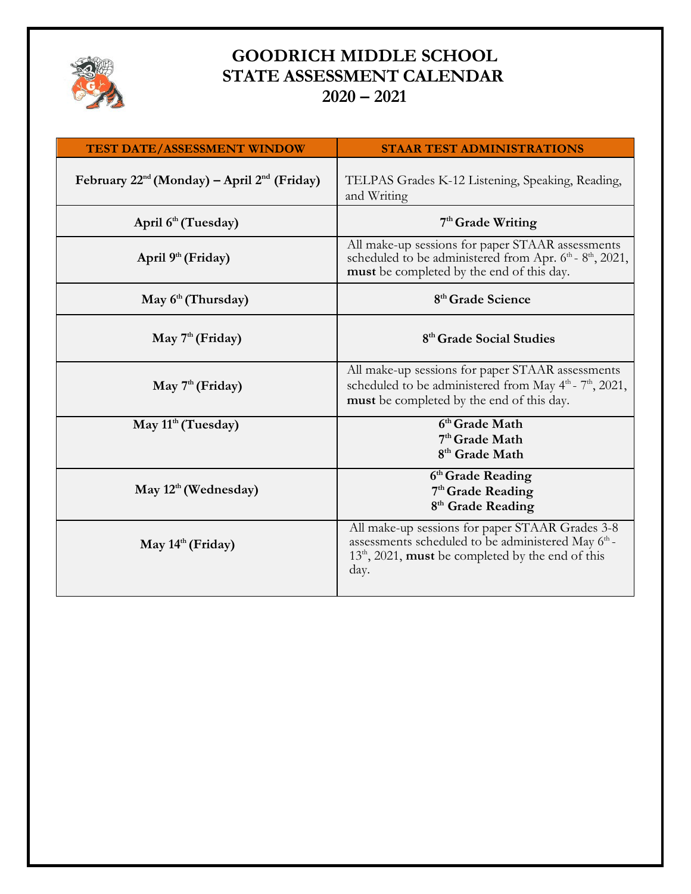

# **GOODRICH MIDDLE SCHOOL STATE ASSESSMENT CALENDAR 2020 – 2021**

| <b>TEST DATE/ASSESSMENT WINDOW</b>                    | <b>STAAR TEST ADMINISTRATIONS</b>                                                                                                                                                       |
|-------------------------------------------------------|-----------------------------------------------------------------------------------------------------------------------------------------------------------------------------------------|
| February $22^{nd}$ (Monday) – April $2^{nd}$ (Friday) | TELPAS Grades K-12 Listening, Speaking, Reading,<br>and Writing                                                                                                                         |
| April 6 <sup>th</sup> (Tuesday)                       | 7 <sup>th</sup> Grade Writing                                                                                                                                                           |
| April 9 <sup>th</sup> (Friday)                        | All make-up sessions for paper STAAR assessments<br>scheduled to be administered from Apr. $6th$ - $8th$ , 2021,<br>must be completed by the end of this day.                           |
| May 6th (Thursday)                                    | 8 <sup>th</sup> Grade Science                                                                                                                                                           |
| May $7th$ (Friday)                                    | 8 <sup>th</sup> Grade Social Studies                                                                                                                                                    |
| May 7 <sup>th</sup> (Friday)                          | All make-up sessions for paper STAAR assessments<br>scheduled to be administered from May $4th$ - $7th$ , 2021,<br>must be completed by the end of this day.                            |
| May $11th$ (Tuesday)                                  | 6th Grade Math<br>7 <sup>th</sup> Grade Math<br>8 <sup>th</sup> Grade Math                                                                                                              |
| May $12^{\text{th}}$ (Wednesday)                      | 6th Grade Reading<br>7 <sup>th</sup> Grade Reading<br>8 <sup>th</sup> Grade Reading                                                                                                     |
| May 14th (Friday)                                     | All make-up sessions for paper STAAR Grades 3-8<br>assessments scheduled to be administered May 6 <sup>th</sup> -<br>$13th$ , 2021, <b>must</b> be completed by the end of this<br>day. |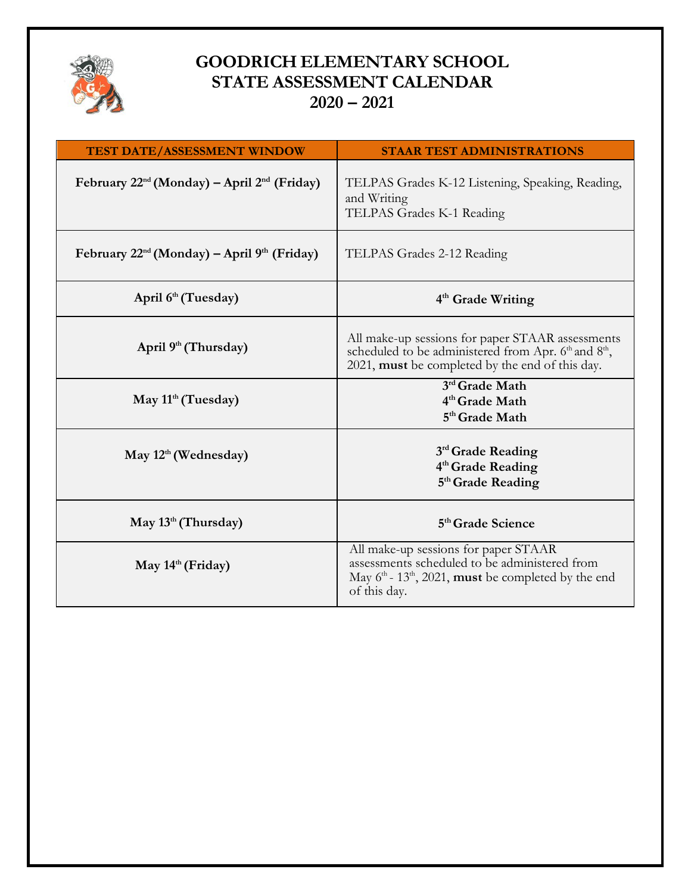

# **GOODRICH ELEMENTARY SCHOOL STATE ASSESSMENT CALENDAR 2020 – 2021**

| <b>TEST DATE/ASSESSMENT WINDOW</b>                           | <b>STAAR TEST ADMINISTRATIONS</b>                                                                                                                                                 |
|--------------------------------------------------------------|-----------------------------------------------------------------------------------------------------------------------------------------------------------------------------------|
| February $22^{nd}$ (Monday) – April $2^{nd}$ (Friday)        | TELPAS Grades K-12 Listening, Speaking, Reading,<br>and Writing<br>TELPAS Grades K-1 Reading                                                                                      |
| February $22^{nd}$ (Monday) – April 9 <sup>th</sup> (Friday) | TELPAS Grades 2-12 Reading                                                                                                                                                        |
| April 6 <sup>th</sup> (Tuesday)                              | 4 <sup>th</sup> Grade Writing                                                                                                                                                     |
| April $9th$ (Thursday)                                       | All make-up sessions for paper STAAR assessments<br>scheduled to be administered from Apr. 6th and 8th,<br>2021, must be completed by the end of this day.                        |
| May $11th$ (Tuesday)                                         | 3rd Grade Math<br>4 <sup>th</sup> Grade Math<br>5 <sup>th</sup> Grade Math                                                                                                        |
| May $12^{\text{th}}$ (Wednesday)                             | 3rd Grade Reading<br>4 <sup>th</sup> Grade Reading<br>5 <sup>th</sup> Grade Reading                                                                                               |
| May $13th$ (Thursday)                                        | 5 <sup>th</sup> Grade Science                                                                                                                                                     |
| May $14th$ (Friday)                                          | All make-up sessions for paper STAAR<br>assessments scheduled to be administered from<br>May $6th$ - 13 <sup>th</sup> , 2021, <b>must</b> be completed by the end<br>of this day. |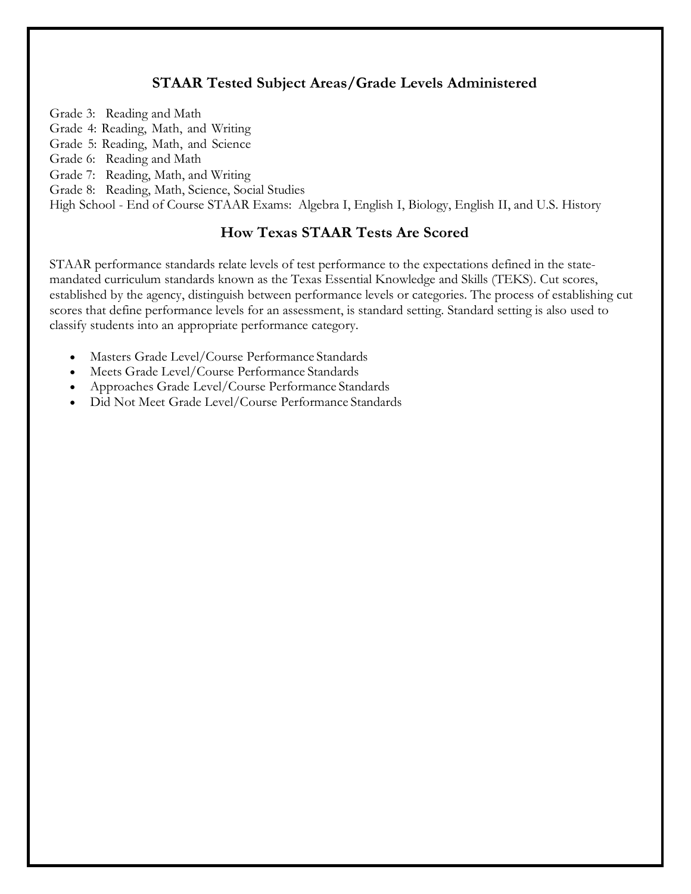# **STAAR Tested Subject Areas/Grade Levels Administered**

Grade 3: Reading and Math

- Grade 4: Reading, Math, and Writing
- Grade 5: Reading, Math, and Science
- Grade 6: Reading and Math
- Grade 7: Reading, Math, and Writing

Grade 8: Reading, Math, Science, Social Studies

High School - End of Course STAAR Exams: Algebra I, English I, Biology, English II, and U.S. History

# **How Texas STAAR Tests Are Scored**

STAAR performance standards relate levels of test performance to the expectations defined in the statemandated curriculum standards known as the Texas Essential Knowledge and Skills (TEKS). Cut scores, established by the agency, distinguish between performance levels or categories. The process of establishing cut scores that define performance levels for an assessment, is standard setting. Standard setting is also used to classify students into an appropriate performance category.

- Masters Grade Level/Course Performance Standards
- Meets Grade Level/Course Performance Standards
- Approaches Grade Level/Course Performance Standards
- Did Not Meet Grade Level/Course Performance Standards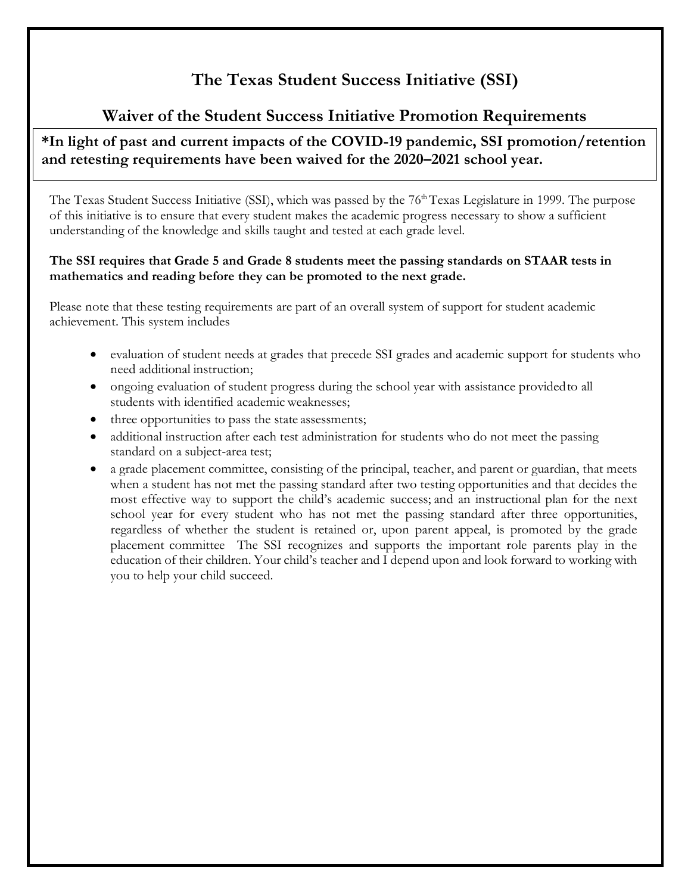# **The Texas Student Success Initiative (SSI)**

# **Waiver of the Student Success Initiative Promotion Requirements**

# **\*In light of past and current impacts of the COVID-19 pandemic, SSI promotion/retention and retesting requirements have been waived for the 2020–2021 school year.**

The Texas Student Success Initiative (SSI), which was passed by the 76<sup>th</sup> Texas Legislature in 1999. The purpose of this initiative is to ensure that every student makes the academic progress necessary to show a sufficient understanding of the knowledge and skills taught and tested at each grade level.

#### **The SSI requires that Grade 5 and Grade 8 students meet the passing standards on STAAR tests in mathematics and reading before they can be promoted to the next grade.**

Please note that these testing requirements are part of an overall system of support for student academic achievement. This system includes

- evaluation of student needs at grades that precede SSI grades and academic support for students who need additional instruction;
- ongoing evaluation of student progress during the school year with assistance provided to all students with identified academic weaknesses;
- three opportunities to pass the state assessments;
- additional instruction after each test administration for students who do not meet the passing standard on a subject-area test;
- a grade placement committee, consisting of the principal, teacher, and parent or guardian, that meets when a student has not met the passing standard after two testing opportunities and that decides the most effective way to support the child's academic success; and an instructional plan for the next school year for every student who has not met the passing standard after three opportunities, regardless of whether the student is retained or, upon parent appeal, is promoted by the grade placement committee The SSI recognizes and supports the important role parents play in the education of their children. Your child's teacher and I depend upon and look forward to working with you to help your child succeed.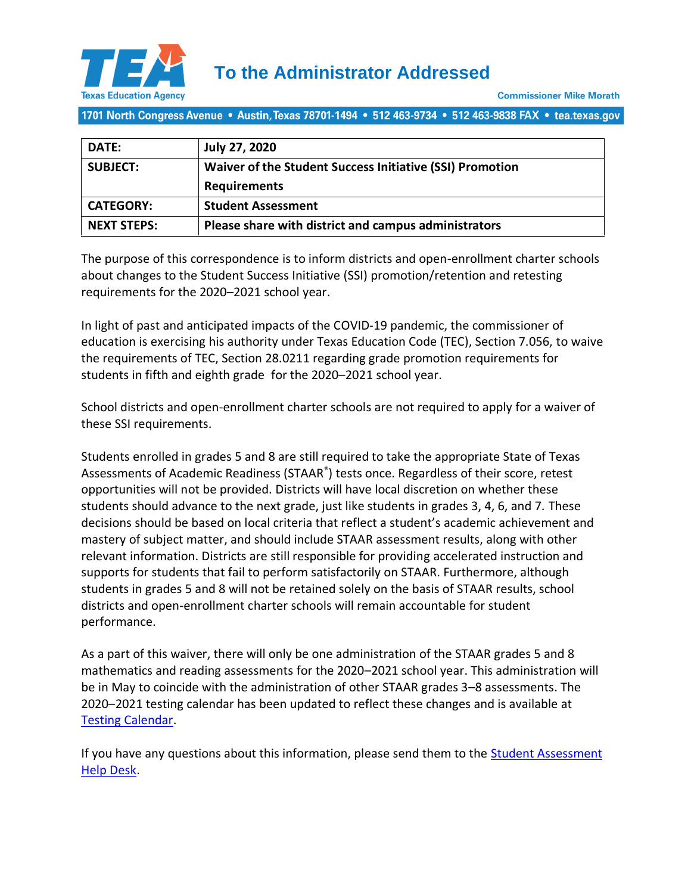

1701 North Congress Avenue • Austin, Texas 78701-1494 • 512 463-9734 • 512 463-9838 FAX • tea.texas.gov

| DATE:              | <b>July 27, 2020</b>                                     |
|--------------------|----------------------------------------------------------|
| <b>SUBJECT:</b>    | Waiver of the Student Success Initiative (SSI) Promotion |
|                    | <b>Requirements</b>                                      |
| <b>CATEGORY:</b>   | <b>Student Assessment</b>                                |
| <b>NEXT STEPS:</b> | Please share with district and campus administrators     |

The purpose of this correspondence is to inform districts and open-enrollment charter schools about changes to the Student Success Initiative (SSI) promotion/retention and retesting requirements for the 2020–2021 school year.

In light of past and anticipated impacts of the COVID-19 pandemic, the commissioner of education is exercising his authority under Texas Education Code (TEC), Section 7.056, to waive the requirements of TEC, Section 28.0211 regarding grade promotion requirements for students in fifth and eighth grade for the 2020–2021 school year.

School districts and open-enrollment charter schools are not required to apply for a waiver of these SSI requirements.

Students enrolled in grades 5 and 8 are still required to take the appropriate State of Texas Assessments of Academic Readiness (STAAR<sup>®</sup>) tests once. Regardless of their score, retest opportunities will not be provided. Districts will have local discretion on whether these students should advance to the next grade, just like students in grades 3, 4, 6, and 7. These decisions should be based on local criteria that reflect a student's academic achievement and mastery of subject matter, and should include STAAR assessment results, along with other relevant information. Districts are still responsible for providing accelerated instruction and supports for students that fail to perform satisfactorily on STAAR. Furthermore, although students in grades 5 and 8 will not be retained solely on the basis of STAAR results, school districts and open-enrollment charter schools will remain accountable for student performance.

As a part of this waiver, there will only be one administration of the STAAR grades 5 and 8 mathematics and reading assessments for the 2020–2021 school year. This administration will be in May to coincide with the administration of other STAAR grades 3–8 assessments. The 2020–2021 testing calendar has been updated to reflect these changes and is available at [Testing Calendar.](https://tea.texas.gov/node/106034)

If you have any questions about this information, please send them to the [Student Assessment](https://teastudentassessments.zendesk.com/hc/en-us/categories/360002017872-Student-Assessment)  [Help Desk.](https://teastudentassessments.zendesk.com/hc/en-us/categories/360002017872-Student-Assessment)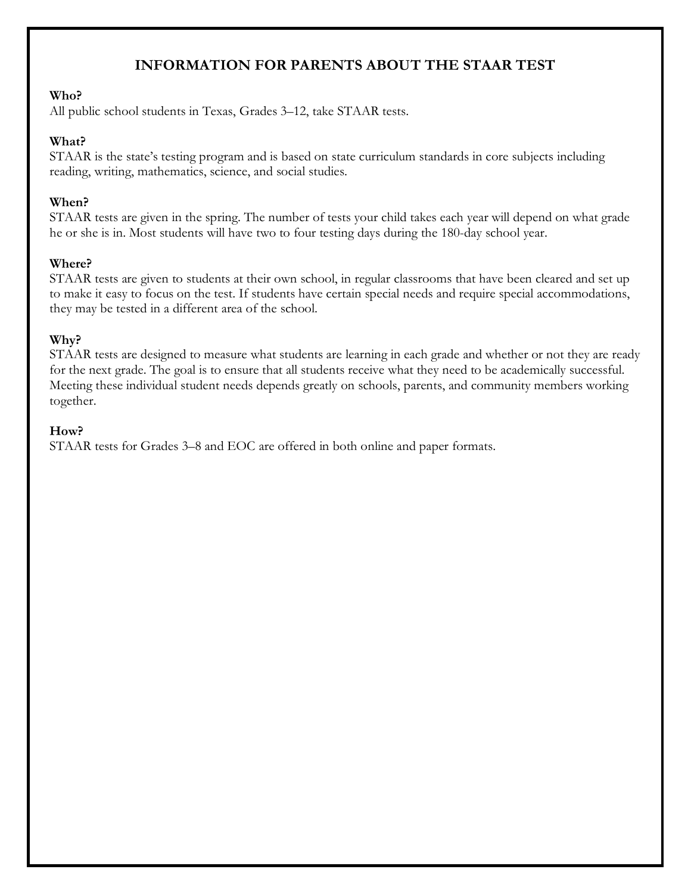# **INFORMATION FOR PARENTS ABOUT THE STAAR TEST**

#### **Who?**

All public school students in Texas, Grades 3–12, take STAAR tests.

#### **What?**

STAAR is the state's testing program and is based on state curriculum standards in core subjects including reading, writing, mathematics, science, and social studies.

## **When?**

STAAR tests are given in the spring. The number of tests your child takes each year will depend on what grade he or she is in. Most students will have two to four testing days during the 180-day school year.

## **Where?**

STAAR tests are given to students at their own school, in regular classrooms that have been cleared and set up to make it easy to focus on the test. If students have certain special needs and require special accommodations, they may be tested in a different area of the school.

## **Why?**

STAAR tests are designed to measure what students are learning in each grade and whether or not they are ready for the next grade. The goal is to ensure that all students receive what they need to be academically successful. Meeting these individual student needs depends greatly on schools, parents, and community members working together.

#### **How?**

STAAR tests for Grades 3–8 and EOC are offered in both online and paper formats.